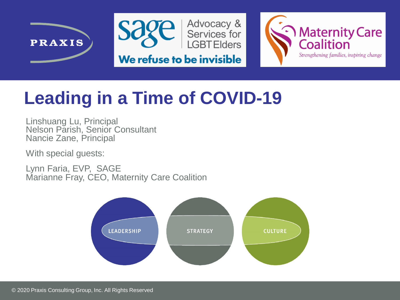





#### **Leading in a Time of COVID-19**

Linshuang Lu, Principal Nelson Parish, Senior Consultant Nancie Zane, Principal

With special guests:

Lynn Faria, EVP, SAGE Marianne Fray, CEO, Maternity Care Coalition

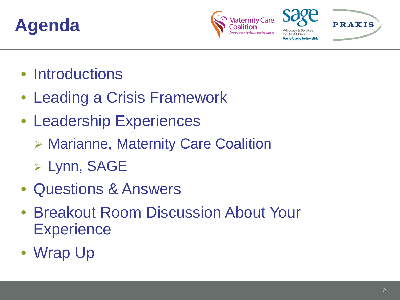#### **Agenda**



We refuse to be invisibl

**PRAXIS** 

- Introductions
- Leading a Crisis Framework
- Leadership Experiences
	- Marianne, Maternity Care Coalition
	- Lynn, SAGE
- Questions & Answers
- Breakout Room Discussion About Your **Experience**
- Wrap Up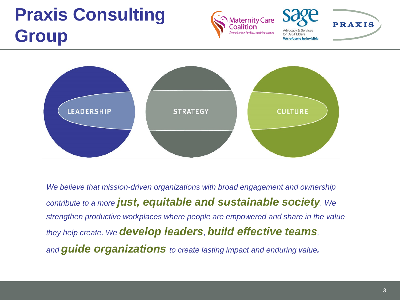#### **Praxis Consulting Group**





**PRAXIS** 



*We believe that mission-driven organizations with broad engagement and ownership contribute to a more just, equitable and sustainable society. We strengthen productive workplaces where people are empowered and share in the value they help create. We develop leaders, build effective teams, and guide organizations to create lasting impact and enduring value.*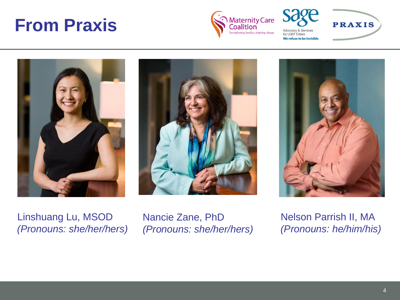#### **From Praxis**





for LGBT Elders We refuse to be invisible **PRAXIS** 







Linshuang Lu, MSOD *(Pronouns: she/her/hers)* Nancie Zane, PhD *(Pronouns: she/her/hers)* Nelson Parrish II, MA *(Pronouns: he/him/his)*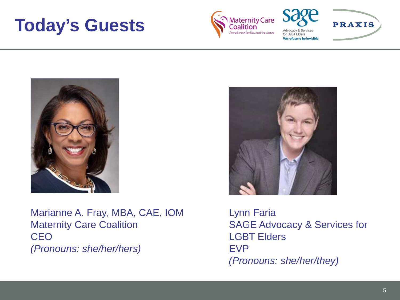#### **Today's Guests**



for LGBT Elders

**PRAXIS** We refuse to be invisible



Marianne A. Fray, MBA, CAE, IOM Maternity Care Coalition **CEO** *(Pronouns: she/her/hers)*



Lynn Faria SAGE Advocacy & Services for LGBT Elders EVP *(Pronouns: she/her/they)*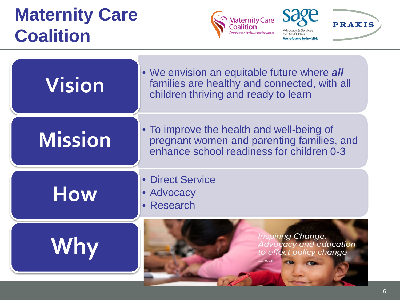#### **Maternity Care Coalition**



**PRAXIS** 



- Direct Service
- **How** · Advocacy
	- Research

### **Why**

**Inspiring Change.** Advocacy and education to effect policy change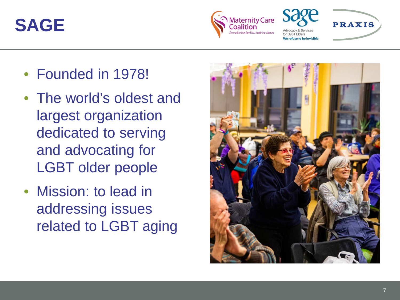#### **SAGE**







- Founded in 1978!
- The world's oldest and largest organization dedicated to serving and advocating for LGBT older people
- Mission: to lead in addressing issues related to LGBT aging

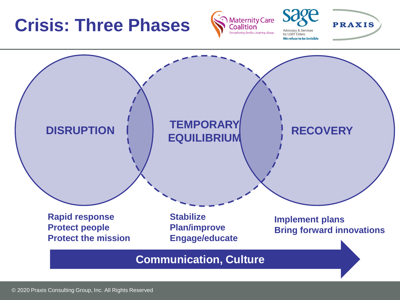#### **Crisis: Three Phases**



for I GBT Fiders We refuse to be invisible **PRAXIS** 



© 2020 Praxis Consulting Group, Inc. All Rights Reserved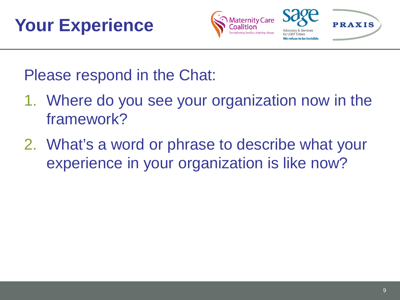





Please respond in the Chat:

- 1. Where do you see your organization now in the framework?
- 2. What's a word or phrase to describe what your experience in your organization is like now?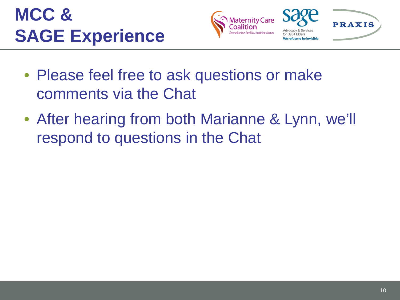







- Please feel free to ask questions or make comments via the Chat
- After hearing from both Marianne & Lynn, we'll respond to questions in the Chat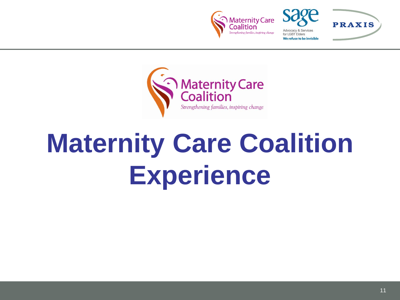





## **Maternity Care Coalition Experience**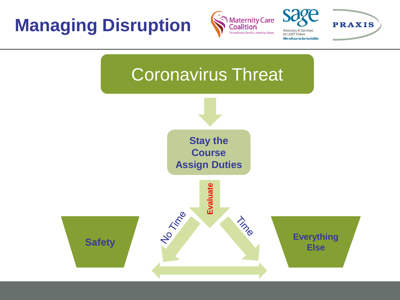#### **Managing Disruption**





Advocacy & Service for LGBT Elders We refuse to be invisible

**PRAXIS** 

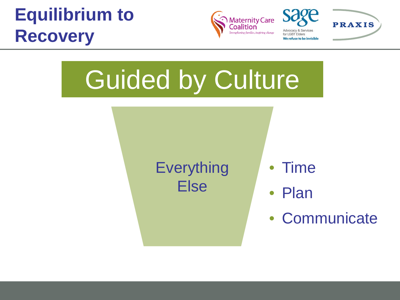#### **Equilibrium to Recovery**





for LGBT Elders

**PRAXIS** We refuse to be invisible

# Guided by Culture

**Everything** Else

- Time
- Plan
- Communicate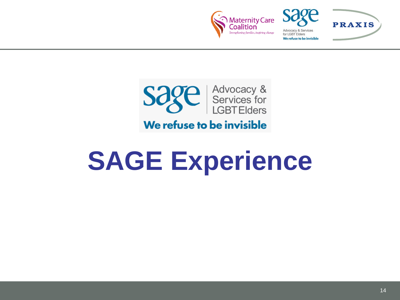





### **SAGE Experience**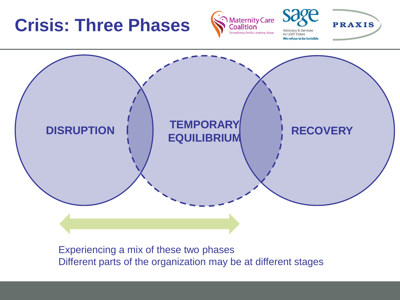#### **Crisis: Three Phases**



for I GBT Fiders We refuse to be invisible

**PRAXIS** 



Experiencing a mix of these two phases Different parts of the organization may be at different stages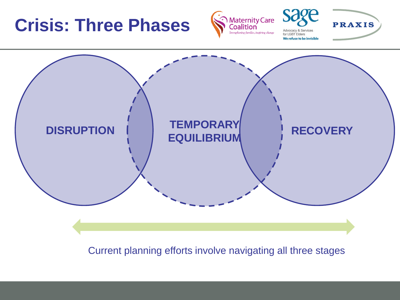#### **Crisis: Three Phases**



for LGBT Elders We refuse to be invisible **PRAXIS** 



Current planning efforts involve navigating all three stages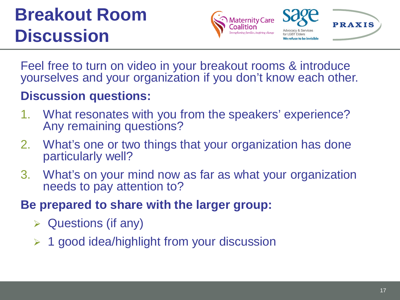#### **Breakout Room Discussion**





Feel free to turn on video in your breakout rooms & introduce yourselves and your organization if you don't know each other.

#### **Discussion questions:**

- 1. What resonates with you from the speakers' experience? Any remaining questions?
- 2. What's one or two things that your organization has done particularly well?
- 3. What's on your mind now as far as what your organization needs to pay attention to?
- **Be prepared to share with the larger group:** 
	- $\triangleright$  Questions (if any)
	- $\geq 1$  good idea/highlight from your discussion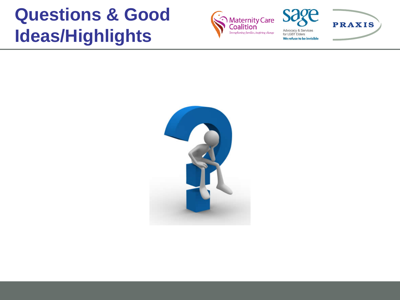#### **Questions & Good Ideas/Highlights**





**PRAXIS** for LGBT Elders We refuse to be invisible

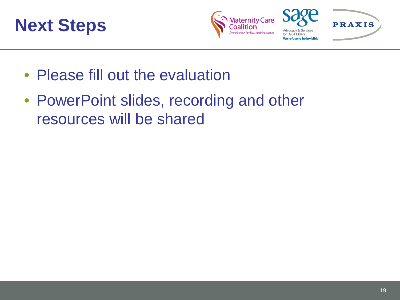





- Please fill out the evaluation
- PowerPoint slides, recording and other resources will be shared